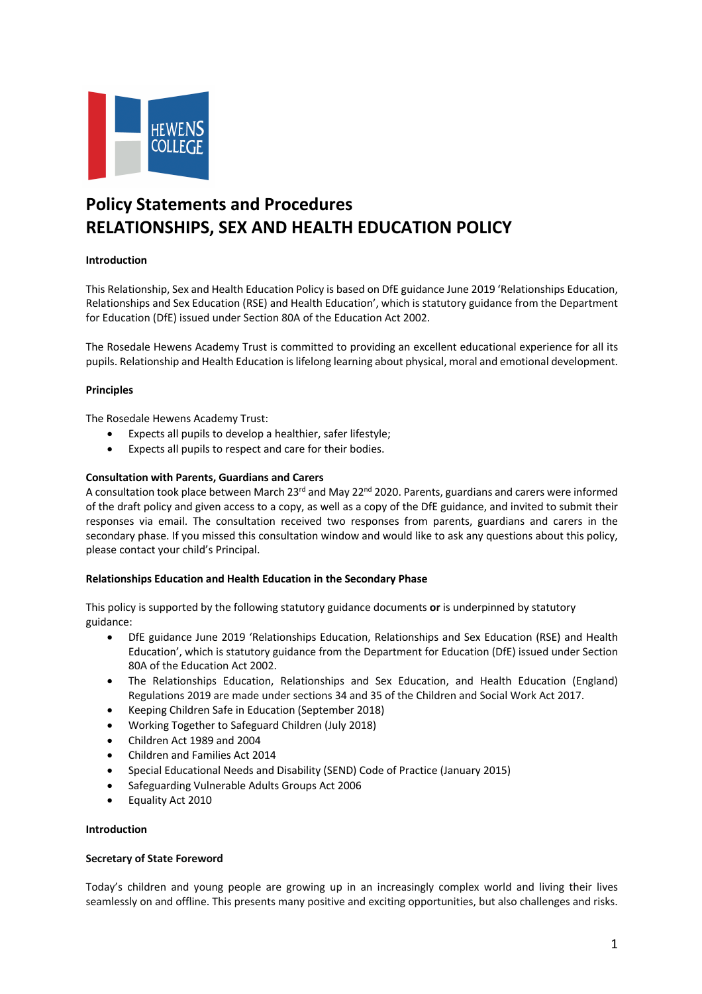

# **Policy Statements and Procedures RELATIONSHIPS, SEX AND HEALTH EDUCATION POLICY**

# **Introduction**

This Relationship, Sex and Health Education Policy is based on DfE guidance June 2019 'Relationships Education, Relationships and Sex Education (RSE) and Health Education', which is statutory guidance from the Department for Education (DfE) issued under Section 80A of the Education Act 2002.

The Rosedale Hewens Academy Trust is committed to providing an excellent educational experience for all its pupils. Relationship and Health Education is lifelong learning about physical, moral and emotional development.

### **Principles**

The Rosedale Hewens Academy Trust:

- Expects all pupils to develop a healthier, safer lifestyle;
- Expects all pupils to respect and care for their bodies.

### **Consultation with Parents, Guardians and Carers**

A consultation took place between March 23<sup>rd</sup> and May 22<sup>nd</sup> 2020. Parents, guardians and carers were informed of the draft policy and given access to a copy, as well as a copy of the DfE guidance, and invited to submit their responses via email. The consultation received two responses from parents, guardians and carers in the secondary phase. If you missed this consultation window and would like to ask any questions about this policy, please contact your child's Principal.

### **Relationships Education and Health Education in the Secondary Phase**

This policy is supported by the following statutory guidance documents **or** is underpinned by statutory guidance:

- DfE guidance June 2019 'Relationships Education, Relationships and Sex Education (RSE) and Health Education', which is statutory guidance from the Department for Education (DfE) issued under Section 80A of the Education Act 2002.
- The Relationships Education, Relationships and Sex Education, and Health Education (England) Regulations 2019 are made under sections 34 and 35 of the Children and Social Work Act 2017.
- Keeping Children Safe in Education (September 2018)
- Working Together to Safeguard Children (July 2018)
- Children Act 1989 and 2004
- Children and Families Act 2014
- Special Educational Needs and Disability (SEND) Code of Practice (January 2015)
- Safeguarding Vulnerable Adults Groups Act 2006
- Equality Act 2010

### **Introduction**

### **Secretary of State Foreword**

Today's children and young people are growing up in an increasingly complex world and living their lives seamlessly on and offline. This presents many positive and exciting opportunities, but also challenges and risks.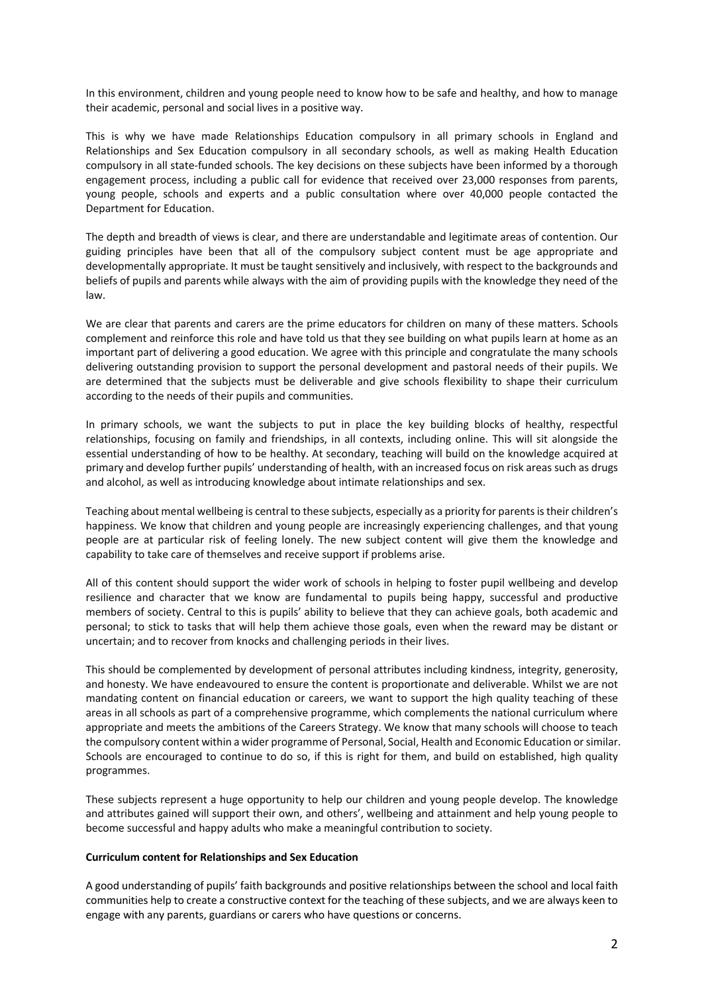In this environment, children and young people need to know how to be safe and healthy, and how to manage their academic, personal and social lives in a positive way.

This is why we have made Relationships Education compulsory in all primary schools in England and Relationships and Sex Education compulsory in all secondary schools, as well as making Health Education compulsory in all state-funded schools. The key decisions on these subjects have been informed by a thorough engagement process, including a public call for evidence that received over 23,000 responses from parents, young people, schools and experts and a public consultation where over 40,000 people contacted the Department for Education.

The depth and breadth of views is clear, and there are understandable and legitimate areas of contention. Our guiding principles have been that all of the compulsory subject content must be age appropriate and developmentally appropriate. It must be taught sensitively and inclusively, with respect to the backgrounds and beliefs of pupils and parents while always with the aim of providing pupils with the knowledge they need of the law.

We are clear that parents and carers are the prime educators for children on many of these matters. Schools complement and reinforce this role and have told us that they see building on what pupils learn at home as an important part of delivering a good education. We agree with this principle and congratulate the many schools delivering outstanding provision to support the personal development and pastoral needs of their pupils. We are determined that the subjects must be deliverable and give schools flexibility to shape their curriculum according to the needs of their pupils and communities.

In primary schools, we want the subjects to put in place the key building blocks of healthy, respectful relationships, focusing on family and friendships, in all contexts, including online. This will sit alongside the essential understanding of how to be healthy. At secondary, teaching will build on the knowledge acquired at primary and develop further pupils' understanding of health, with an increased focus on risk areas such as drugs and alcohol, as well as introducing knowledge about intimate relationships and sex.

Teaching about mental wellbeing is central to these subjects, especially as a priority for parents is their children's happiness. We know that children and young people are increasingly experiencing challenges, and that young people are at particular risk of feeling lonely. The new subject content will give them the knowledge and capability to take care of themselves and receive support if problems arise.

All of this content should support the wider work of schools in helping to foster pupil wellbeing and develop resilience and character that we know are fundamental to pupils being happy, successful and productive members of society. Central to this is pupils' ability to believe that they can achieve goals, both academic and personal; to stick to tasks that will help them achieve those goals, even when the reward may be distant or uncertain; and to recover from knocks and challenging periods in their lives.

This should be complemented by development of personal attributes including kindness, integrity, generosity, and honesty. We have endeavoured to ensure the content is proportionate and deliverable. Whilst we are not mandating content on financial education or careers, we want to support the high quality teaching of these areas in all schools as part of a comprehensive programme, which complements the national curriculum where appropriate and meets the ambitions of the Careers Strategy. We know that many schools will choose to teach the compulsory content within a wider programme of Personal, Social, Health and Economic Education or similar. Schools are encouraged to continue to do so, if this is right for them, and build on established, high quality programmes.

These subjects represent a huge opportunity to help our children and young people develop. The knowledge and attributes gained will support their own, and others', wellbeing and attainment and help young people to become successful and happy adults who make a meaningful contribution to society.

#### **Curriculum content for Relationships and Sex Education**

A good understanding of pupils' faith backgrounds and positive relationships between the school and local faith communities help to create a constructive context for the teaching of these subjects, and we are always keen to engage with any parents, guardians or carers who have questions or concerns.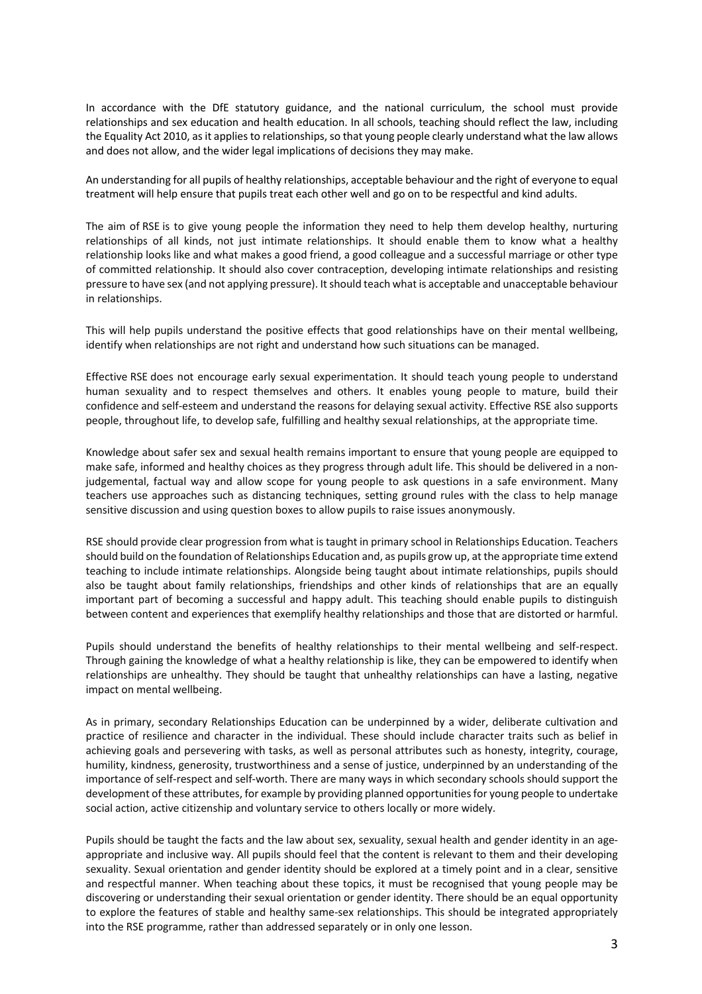In accordance with the DfE statutory guidance, and the national curriculum, the school must provide relationships and sex education and health education. In all schools, teaching should reflect the law, including the Equality Act 2010, as it applies to relationships, so that young people clearly understand what the law allows and does not allow, and the wider legal implications of decisions they may make.

An understanding for all pupils of healthy relationships, acceptable behaviour and the right of everyone to equal treatment will help ensure that pupils treat each other well and go on to be respectful and kind adults.

The aim of RSE is to give young people the information they need to help them develop healthy, nurturing relationships of all kinds, not just intimate relationships. It should enable them to know what a healthy relationship looks like and what makes a good friend, a good colleague and a successful marriage or other type of committed relationship. It should also cover contraception, developing intimate relationships and resisting pressure to have sex (and not applying pressure). It should teach what is acceptable and unacceptable behaviour in relationships.

This will help pupils understand the positive effects that good relationships have on their mental wellbeing, identify when relationships are not right and understand how such situations can be managed.

Effective RSE does not encourage early sexual experimentation. It should teach young people to understand human sexuality and to respect themselves and others. It enables young people to mature, build their confidence and self-esteem and understand the reasons for delaying sexual activity. Effective RSE also supports people, throughout life, to develop safe, fulfilling and healthy sexual relationships, at the appropriate time.

Knowledge about safer sex and sexual health remains important to ensure that young people are equipped to make safe, informed and healthy choices as they progress through adult life. This should be delivered in a nonjudgemental, factual way and allow scope for young people to ask questions in a safe environment. Many teachers use approaches such as distancing techniques, setting ground rules with the class to help manage sensitive discussion and using question boxes to allow pupils to raise issues anonymously.

RSE should provide clear progression from what is taught in primary school in Relationships Education. Teachers should build on the foundation of Relationships Education and, as pupils grow up, at the appropriate time extend teaching to include intimate relationships. Alongside being taught about intimate relationships, pupils should also be taught about family relationships, friendships and other kinds of relationships that are an equally important part of becoming a successful and happy adult. This teaching should enable pupils to distinguish between content and experiences that exemplify healthy relationships and those that are distorted or harmful.

Pupils should understand the benefits of healthy relationships to their mental wellbeing and self-respect. Through gaining the knowledge of what a healthy relationship is like, they can be empowered to identify when relationships are unhealthy. They should be taught that unhealthy relationships can have a lasting, negative impact on mental wellbeing.

As in primary, secondary Relationships Education can be underpinned by a wider, deliberate cultivation and practice of resilience and character in the individual. These should include character traits such as belief in achieving goals and persevering with tasks, as well as personal attributes such as honesty, integrity, courage, humility, kindness, generosity, trustworthiness and a sense of justice, underpinned by an understanding of the importance of self-respect and self-worth. There are many ways in which secondary schools should support the development of these attributes, for example by providing planned opportunities for young people to undertake social action, active citizenship and voluntary service to others locally or more widely.

Pupils should be taught the facts and the law about sex, sexuality, sexual health and gender identity in an ageappropriate and inclusive way. All pupils should feel that the content is relevant to them and their developing sexuality. Sexual orientation and gender identity should be explored at a timely point and in a clear, sensitive and respectful manner. When teaching about these topics, it must be recognised that young people may be discovering or understanding their sexual orientation or gender identity. There should be an equal opportunity to explore the features of stable and healthy same-sex relationships. This should be integrated appropriately into the RSE programme, rather than addressed separately or in only one lesson.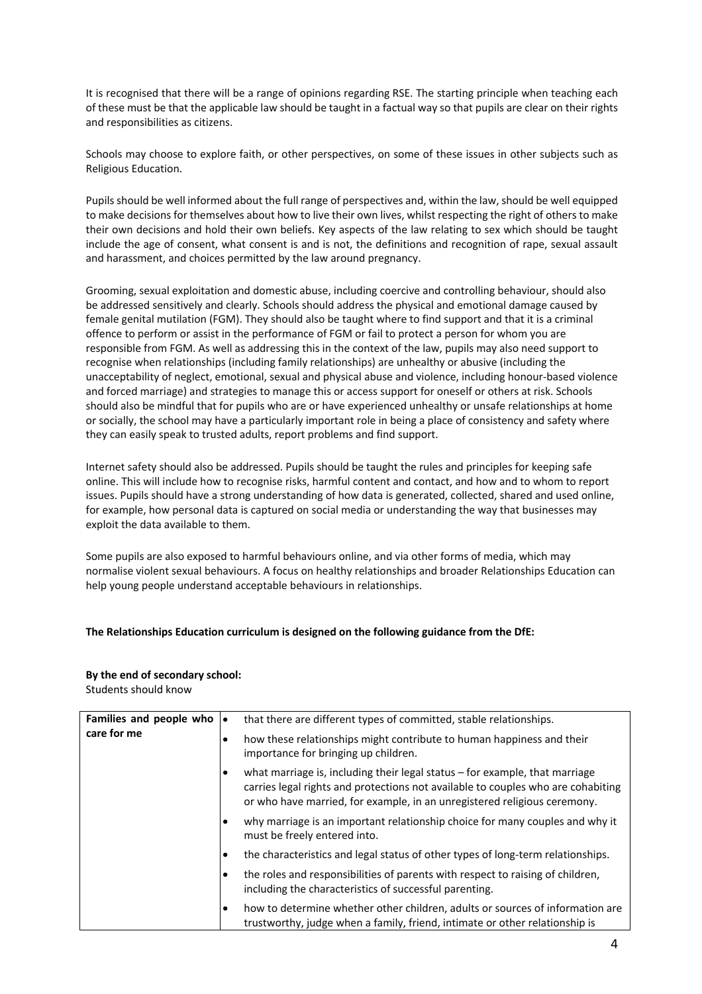It is recognised that there will be a range of opinions regarding RSE. The starting principle when teaching each of these must be that the applicable law should be taught in a factual way so that pupils are clear on their rights and responsibilities as citizens.

Schools may choose to explore faith, or other perspectives, on some of these issues in other subjects such as Religious Education.

Pupils should be well informed about the full range of perspectives and, within the law, should be well equipped to make decisions for themselves about how to live their own lives, whilst respecting the right of others to make their own decisions and hold their own beliefs. Key aspects of the law relating to sex which should be taught include the age of consent, what consent is and is not, the definitions and recognition of rape, sexual assault and harassment, and choices permitted by the law around pregnancy.

Grooming, sexual exploitation and domestic abuse, including coercive and controlling behaviour, should also be addressed sensitively and clearly. Schools should address the physical and emotional damage caused by female genital mutilation (FGM). They should also be taught where to find support and that it is a criminal offence to perform or assist in the performance of FGM or fail to protect a person for whom you are responsible from FGM. As well as addressing this in the context of the law, pupils may also need support to recognise when relationships (including family relationships) are unhealthy or abusive (including the unacceptability of neglect, emotional, sexual and physical abuse and violence, including honour-based violence and forced marriage) and strategies to manage this or access support for oneself or others at risk. Schools should also be mindful that for pupils who are or have experienced unhealthy or unsafe relationships at home or socially, the school may have a particularly important role in being a place of consistency and safety where they can easily speak to trusted adults, report problems and find support.

Internet safety should also be addressed. Pupils should be taught the rules and principles for keeping safe online. This will include how to recognise risks, harmful content and contact, and how and to whom to report issues. Pupils should have a strong understanding of how data is generated, collected, shared and used online, for example, how personal data is captured on social media or understanding the way that businesses may exploit the data available to them.

Some pupils are also exposed to harmful behaviours online, and via other forms of media, which may normalise violent sexual behaviours. A focus on healthy relationships and broader Relationships Education can help young people understand acceptable behaviours in relationships.

### **The Relationships Education curriculum is designed on the following guidance from the DfE:**

# **By the end of secondary school:**

Students should know

| Families and people who $\bullet$<br>care for me |           | that there are different types of committed, stable relationships.                                                                                                                                                                            |
|--------------------------------------------------|-----------|-----------------------------------------------------------------------------------------------------------------------------------------------------------------------------------------------------------------------------------------------|
|                                                  |           | how these relationships might contribute to human happiness and their<br>importance for bringing up children.                                                                                                                                 |
|                                                  |           | what marriage is, including their legal status $-$ for example, that marriage<br>carries legal rights and protections not available to couples who are cohabiting<br>or who have married, for example, in an unregistered religious ceremony. |
|                                                  |           | why marriage is an important relationship choice for many couples and why it<br>must be freely entered into.                                                                                                                                  |
|                                                  |           | the characteristics and legal status of other types of long-term relationships.                                                                                                                                                               |
|                                                  |           | the roles and responsibilities of parents with respect to raising of children,<br>including the characteristics of successful parenting.                                                                                                      |
|                                                  | $\bullet$ | how to determine whether other children, adults or sources of information are<br>trustworthy, judge when a family, friend, intimate or other relationship is                                                                                  |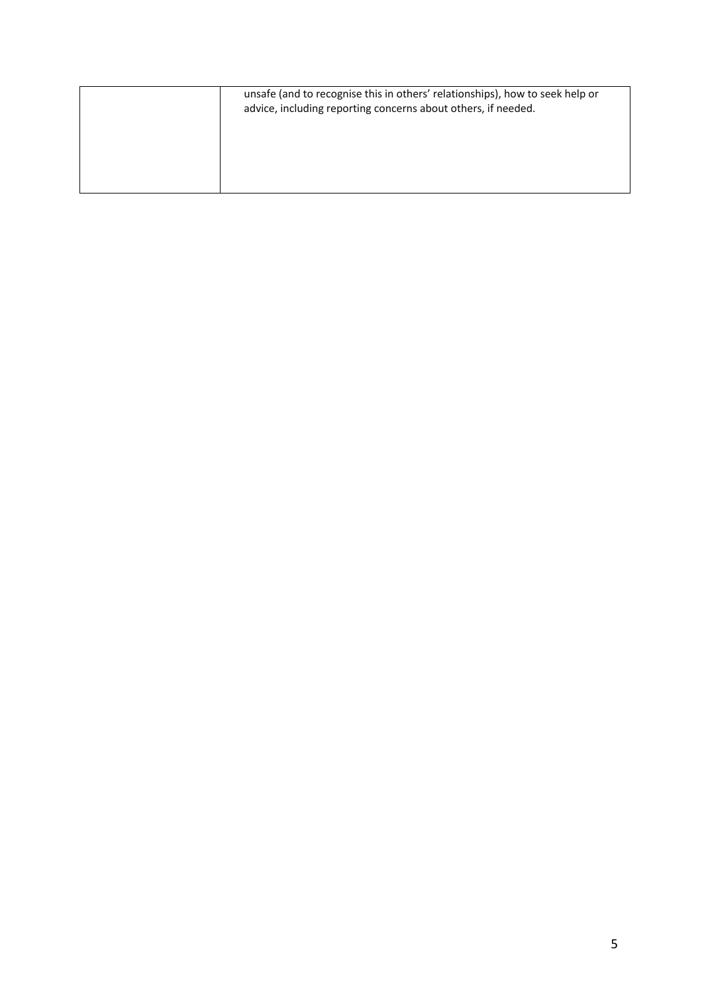| unsafe (and to recognise this in others' relationships), how to seek help or<br>advice, including reporting concerns about others, if needed. |
|-----------------------------------------------------------------------------------------------------------------------------------------------|
|                                                                                                                                               |
|                                                                                                                                               |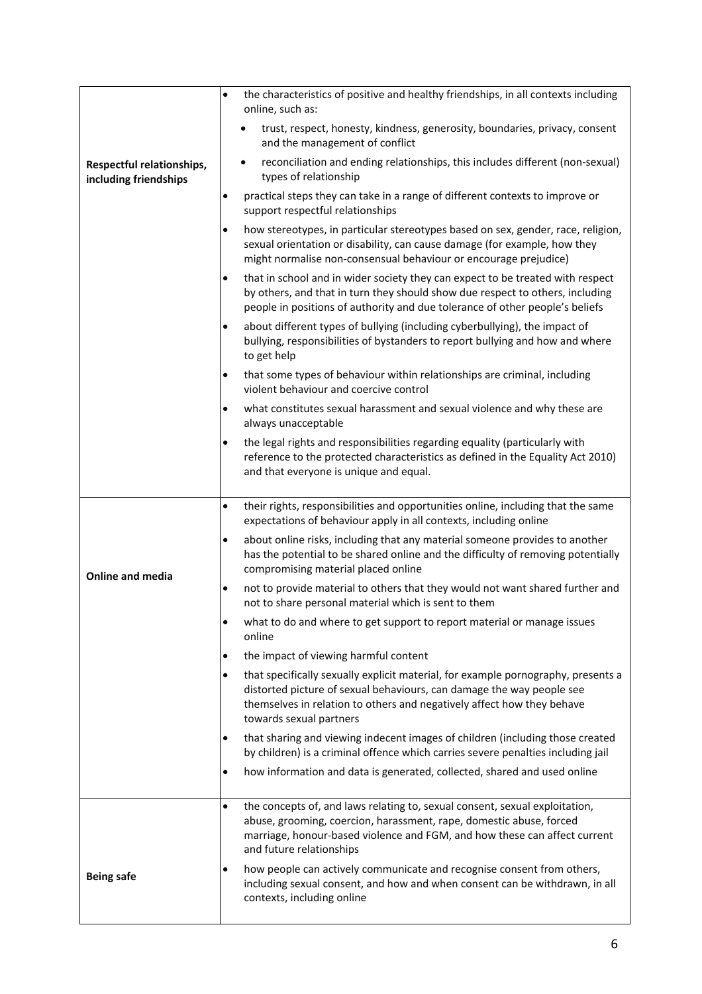|                                                    | $\bullet$ | the characteristics of positive and healthy friendships, in all contexts including<br>online, such as:                                                                                                                                                          |
|----------------------------------------------------|-----------|-----------------------------------------------------------------------------------------------------------------------------------------------------------------------------------------------------------------------------------------------------------------|
|                                                    |           | trust, respect, honesty, kindness, generosity, boundaries, privacy, consent<br>and the management of conflict                                                                                                                                                   |
| Respectful relationships,<br>including friendships |           | reconciliation and ending relationships, this includes different (non-sexual)<br>$\bullet$<br>types of relationship                                                                                                                                             |
|                                                    | ٠         | practical steps they can take in a range of different contexts to improve or<br>support respectful relationships                                                                                                                                                |
|                                                    | $\bullet$ | how stereotypes, in particular stereotypes based on sex, gender, race, religion,<br>sexual orientation or disability, can cause damage (for example, how they<br>might normalise non-consensual behaviour or encourage prejudice)                               |
|                                                    | $\bullet$ | that in school and in wider society they can expect to be treated with respect<br>by others, and that in turn they should show due respect to others, including<br>people in positions of authority and due tolerance of other people's beliefs                 |
|                                                    | $\bullet$ | about different types of bullying (including cyberbullying), the impact of<br>bullying, responsibilities of bystanders to report bullying and how and where<br>to get help                                                                                      |
|                                                    | $\bullet$ | that some types of behaviour within relationships are criminal, including<br>violent behaviour and coercive control                                                                                                                                             |
|                                                    | ٠         | what constitutes sexual harassment and sexual violence and why these are<br>always unacceptable                                                                                                                                                                 |
|                                                    | $\bullet$ | the legal rights and responsibilities regarding equality (particularly with<br>reference to the protected characteristics as defined in the Equality Act 2010)<br>and that everyone is unique and equal.                                                        |
|                                                    | $\bullet$ | their rights, responsibilities and opportunities online, including that the same<br>expectations of behaviour apply in all contexts, including online                                                                                                           |
| <b>Online and media</b>                            | $\bullet$ | about online risks, including that any material someone provides to another<br>has the potential to be shared online and the difficulty of removing potentially<br>compromising material placed online                                                          |
|                                                    | $\bullet$ | not to provide material to others that they would not want shared further and<br>not to share personal material which is sent to them                                                                                                                           |
|                                                    | $\bullet$ | what to do and where to get support to report material or manage issues<br>online                                                                                                                                                                               |
|                                                    | $\bullet$ | the impact of viewing harmful content                                                                                                                                                                                                                           |
|                                                    | $\bullet$ | that specifically sexually explicit material, for example pornography, presents a<br>distorted picture of sexual behaviours, can damage the way people see<br>themselves in relation to others and negatively affect how they behave<br>towards sexual partners |
|                                                    | $\bullet$ | that sharing and viewing indecent images of children (including those created<br>by children) is a criminal offence which carries severe penalties including jail                                                                                               |
|                                                    | $\bullet$ | how information and data is generated, collected, shared and used online                                                                                                                                                                                        |
|                                                    | $\bullet$ | the concepts of, and laws relating to, sexual consent, sexual exploitation,<br>abuse, grooming, coercion, harassment, rape, domestic abuse, forced<br>marriage, honour-based violence and FGM, and how these can affect current<br>and future relationships     |
| <b>Being safe</b>                                  | $\bullet$ | how people can actively communicate and recognise consent from others,<br>including sexual consent, and how and when consent can be withdrawn, in all<br>contexts, including online                                                                             |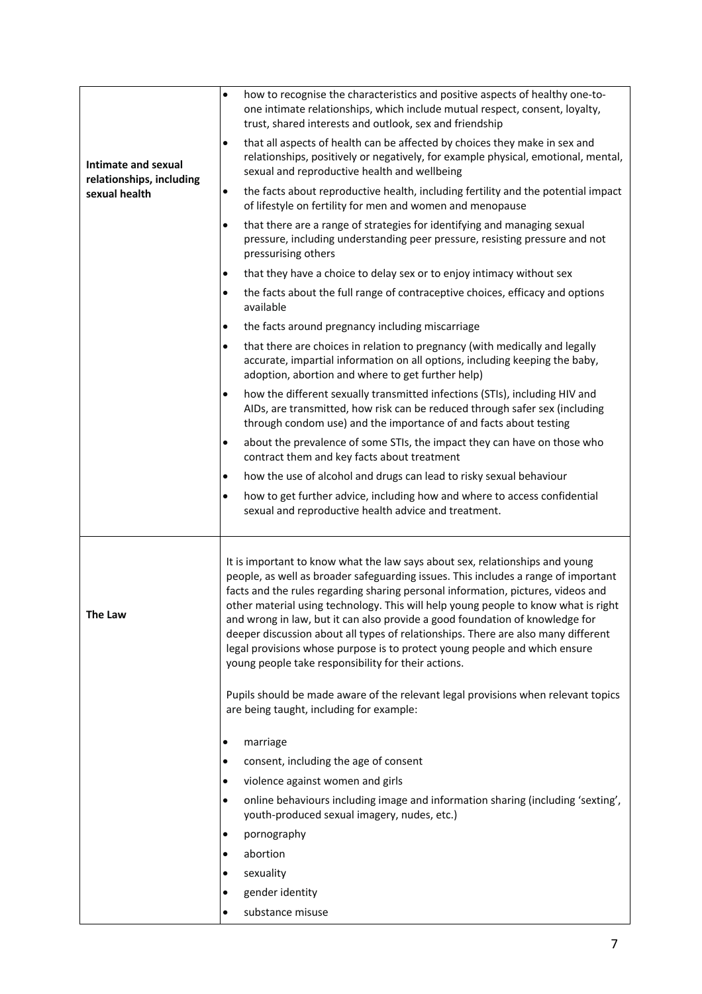| Intimate and sexual<br>relationships, including<br>sexual health | $\bullet$ | how to recognise the characteristics and positive aspects of healthy one-to-<br>one intimate relationships, which include mutual respect, consent, loyalty,<br>trust, shared interests and outlook, sex and friendship                                                                                                                                                                                                                                                                                                                                                                                                                                 |
|------------------------------------------------------------------|-----------|--------------------------------------------------------------------------------------------------------------------------------------------------------------------------------------------------------------------------------------------------------------------------------------------------------------------------------------------------------------------------------------------------------------------------------------------------------------------------------------------------------------------------------------------------------------------------------------------------------------------------------------------------------|
|                                                                  | $\bullet$ | that all aspects of health can be affected by choices they make in sex and<br>relationships, positively or negatively, for example physical, emotional, mental,<br>sexual and reproductive health and wellbeing                                                                                                                                                                                                                                                                                                                                                                                                                                        |
|                                                                  | $\bullet$ | the facts about reproductive health, including fertility and the potential impact<br>of lifestyle on fertility for men and women and menopause                                                                                                                                                                                                                                                                                                                                                                                                                                                                                                         |
|                                                                  | $\bullet$ | that there are a range of strategies for identifying and managing sexual<br>pressure, including understanding peer pressure, resisting pressure and not<br>pressurising others                                                                                                                                                                                                                                                                                                                                                                                                                                                                         |
|                                                                  | $\bullet$ | that they have a choice to delay sex or to enjoy intimacy without sex                                                                                                                                                                                                                                                                                                                                                                                                                                                                                                                                                                                  |
|                                                                  | $\bullet$ | the facts about the full range of contraceptive choices, efficacy and options<br>available                                                                                                                                                                                                                                                                                                                                                                                                                                                                                                                                                             |
|                                                                  | $\bullet$ | the facts around pregnancy including miscarriage                                                                                                                                                                                                                                                                                                                                                                                                                                                                                                                                                                                                       |
|                                                                  | $\bullet$ | that there are choices in relation to pregnancy (with medically and legally<br>accurate, impartial information on all options, including keeping the baby,<br>adoption, abortion and where to get further help)                                                                                                                                                                                                                                                                                                                                                                                                                                        |
|                                                                  | $\bullet$ | how the different sexually transmitted infections (STIs), including HIV and<br>AIDs, are transmitted, how risk can be reduced through safer sex (including<br>through condom use) and the importance of and facts about testing                                                                                                                                                                                                                                                                                                                                                                                                                        |
|                                                                  | $\bullet$ | about the prevalence of some STIs, the impact they can have on those who<br>contract them and key facts about treatment                                                                                                                                                                                                                                                                                                                                                                                                                                                                                                                                |
|                                                                  | $\bullet$ | how the use of alcohol and drugs can lead to risky sexual behaviour                                                                                                                                                                                                                                                                                                                                                                                                                                                                                                                                                                                    |
|                                                                  | $\bullet$ | how to get further advice, including how and where to access confidential                                                                                                                                                                                                                                                                                                                                                                                                                                                                                                                                                                              |
|                                                                  |           | sexual and reproductive health advice and treatment.                                                                                                                                                                                                                                                                                                                                                                                                                                                                                                                                                                                                   |
| The Law                                                          |           | It is important to know what the law says about sex, relationships and young<br>people, as well as broader safeguarding issues. This includes a range of important<br>facts and the rules regarding sharing personal information, pictures, videos and<br>other material using technology. This will help young people to know what is right<br>and wrong in law, but it can also provide a good foundation of knowledge for<br>deeper discussion about all types of relationships. There are also many different<br>legal provisions whose purpose is to protect young people and which ensure<br>young people take responsibility for their actions. |
|                                                                  |           | Pupils should be made aware of the relevant legal provisions when relevant topics<br>are being taught, including for example:                                                                                                                                                                                                                                                                                                                                                                                                                                                                                                                          |
|                                                                  | ٠         | marriage                                                                                                                                                                                                                                                                                                                                                                                                                                                                                                                                                                                                                                               |
|                                                                  | $\bullet$ | consent, including the age of consent                                                                                                                                                                                                                                                                                                                                                                                                                                                                                                                                                                                                                  |
|                                                                  | $\bullet$ | violence against women and girls                                                                                                                                                                                                                                                                                                                                                                                                                                                                                                                                                                                                                       |
|                                                                  | $\bullet$ | online behaviours including image and information sharing (including 'sexting',<br>youth-produced sexual imagery, nudes, etc.)                                                                                                                                                                                                                                                                                                                                                                                                                                                                                                                         |
|                                                                  | ٠         | pornography                                                                                                                                                                                                                                                                                                                                                                                                                                                                                                                                                                                                                                            |
|                                                                  | $\bullet$ | abortion                                                                                                                                                                                                                                                                                                                                                                                                                                                                                                                                                                                                                                               |
|                                                                  | $\bullet$ | sexuality                                                                                                                                                                                                                                                                                                                                                                                                                                                                                                                                                                                                                                              |
|                                                                  | ٠         | gender identity                                                                                                                                                                                                                                                                                                                                                                                                                                                                                                                                                                                                                                        |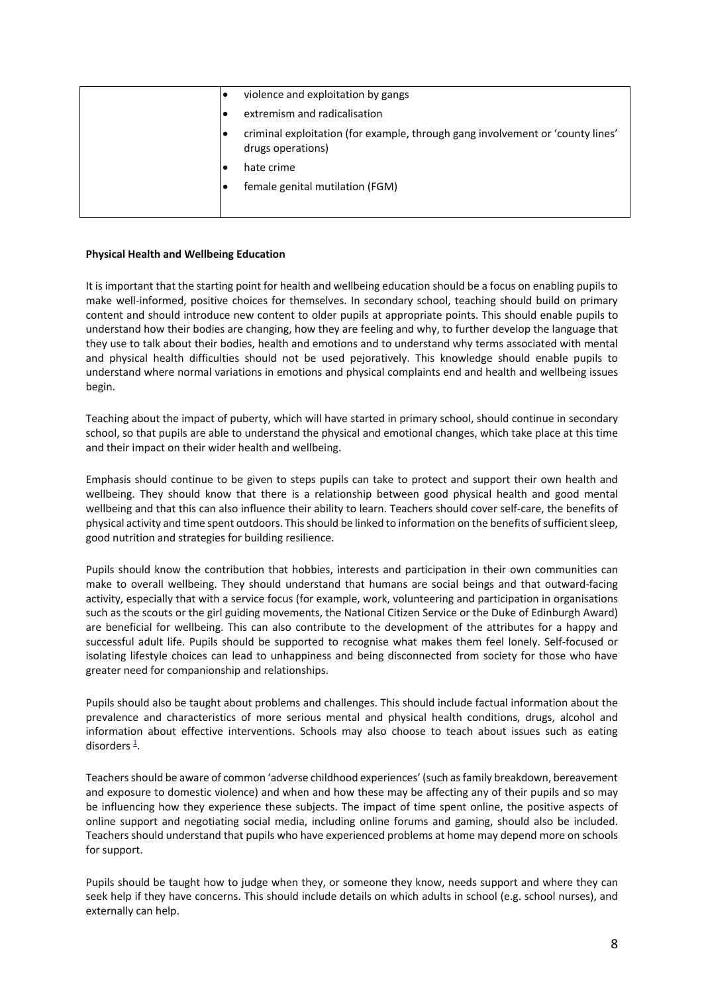|  | violence and exploitation by gangs                                                                  |
|--|-----------------------------------------------------------------------------------------------------|
|  | extremism and radicalisation                                                                        |
|  | criminal exploitation (for example, through gang involvement or 'county lines'<br>drugs operations) |
|  | hate crime                                                                                          |
|  | female genital mutilation (FGM)                                                                     |
|  |                                                                                                     |

### **Physical Health and Wellbeing Education**

It is important that the starting point for health and wellbeing education should be a focus on enabling pupils to make well-informed, positive choices for themselves. In secondary school, teaching should build on primary content and should introduce new content to older pupils at appropriate points. This should enable pupils to understand how their bodies are changing, how they are feeling and why, to further develop the language that they use to talk about their bodies, health and emotions and to understand why terms associated with mental and physical health difficulties should not be used pejoratively. This knowledge should enable pupils to understand where normal variations in emotions and physical complaints end and health and wellbeing issues begin.

Teaching about the impact of puberty, which will have started in primary school, should continue in secondary school, so that pupils are able to understand the physical and emotional changes, which take place at this time and their impact on their wider health and wellbeing.

Emphasis should continue to be given to steps pupils can take to protect and support their own health and wellbeing. They should know that there is a relationship between good physical health and good mental wellbeing and that this can also influence their ability to learn. Teachers should cover self-care, the benefits of physical activity and time spent outdoors. This should be linked to information on the benefits of sufficient sleep, good nutrition and strategies for building resilience.

Pupils should know the contribution that hobbies, interests and participation in their own communities can make to overall wellbeing. They should understand that humans are social beings and that outward-facing activity, especially that with a service focus (for example, work, volunteering and participation in organisations such as the scouts or the girl guiding movements, the National Citizen Service or the Duke of Edinburgh Award) are beneficial for wellbeing. This can also contribute to the development of the attributes for a happy and successful adult life. Pupils should be supported to recognise what makes them feel lonely. Self-focused or isolating lifestyle choices can lead to unhappiness and being disconnected from society for those who have greater need for companionship and relationships.

Pupils should also be taught about problems and challenges. This should include factual information about the prevalence and characteristics of more serious mental and physical health conditions, drugs, alcohol and information about effective interventions. Schools may also choose to teach about issues such as eating disorders  $\frac{1}{n}$ .

Teachers should be aware of common 'adverse childhood experiences' (such as family breakdown, bereavement and exposure to domestic violence) and when and how these may be affecting any of their pupils and so may be influencing how they experience these subjects. The impact of time spent online, the positive aspects of online support and negotiating social media, including online forums and gaming, should also be included. Teachers should understand that pupils who have experienced problems at home may depend more on schools for support.

Pupils should be taught how to judge when they, or someone they know, needs support and where they can seek help if they have concerns. This should include details on which adults in school (e.g. school nurses), and externally can help.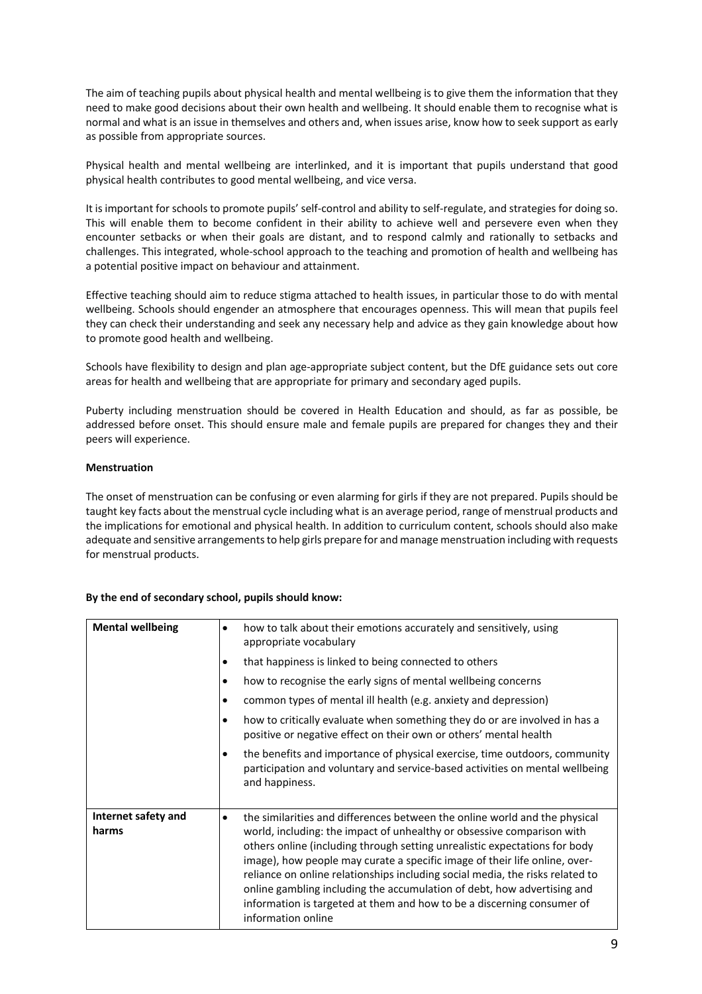The aim of teaching pupils about physical health and mental wellbeing is to give them the information that they need to make good decisions about their own health and wellbeing. It should enable them to recognise what is normal and what is an issue in themselves and others and, when issues arise, know how to seek support as early as possible from appropriate sources.

Physical health and mental wellbeing are interlinked, and it is important that pupils understand that good physical health contributes to good mental wellbeing, and vice versa.

It is important for schools to promote pupils' self-control and ability to self-regulate, and strategies for doing so. This will enable them to become confident in their ability to achieve well and persevere even when they encounter setbacks or when their goals are distant, and to respond calmly and rationally to setbacks and challenges. This integrated, whole-school approach to the teaching and promotion of health and wellbeing has a potential positive impact on behaviour and attainment.

Effective teaching should aim to reduce stigma attached to health issues, in particular those to do with mental wellbeing. Schools should engender an atmosphere that encourages openness. This will mean that pupils feel they can check their understanding and seek any necessary help and advice as they gain knowledge about how to promote good health and wellbeing.

Schools have flexibility to design and plan age-appropriate subject content, but the DfE guidance sets out core areas for health and wellbeing that are appropriate for primary and secondary aged pupils.

Puberty including menstruation should be covered in Health Education and should, as far as possible, be addressed before onset. This should ensure male and female pupils are prepared for changes they and their peers will experience.

# **Menstruation**

The onset of menstruation can be confusing or even alarming for girls if they are not prepared. Pupils should be taught key facts about the menstrual cycle including what is an average period, range of menstrual products and the implications for emotional and physical health. In addition to curriculum content, schools should also make adequate and sensitive arrangements to help girls prepare for and manage menstruation including with requests for menstrual products.

### **By the end of secondary school, pupils should know:**

| <b>Mental wellbeing</b>      | how to talk about their emotions accurately and sensitively, using<br>٠<br>appropriate vocabulary<br>that happiness is linked to being connected to others<br>٠<br>how to recognise the early signs of mental wellbeing concerns<br>$\bullet$<br>common types of mental ill health (e.g. anxiety and depression)<br>٠<br>how to critically evaluate when something they do or are involved in has a<br>$\bullet$<br>positive or negative effect on their own or others' mental health<br>the benefits and importance of physical exercise, time outdoors, community<br>$\bullet$<br>participation and voluntary and service-based activities on mental wellbeing<br>and happiness. |
|------------------------------|------------------------------------------------------------------------------------------------------------------------------------------------------------------------------------------------------------------------------------------------------------------------------------------------------------------------------------------------------------------------------------------------------------------------------------------------------------------------------------------------------------------------------------------------------------------------------------------------------------------------------------------------------------------------------------|
| Internet safety and<br>harms | the similarities and differences between the online world and the physical<br>$\bullet$<br>world, including: the impact of unhealthy or obsessive comparison with<br>others online (including through setting unrealistic expectations for body<br>image), how people may curate a specific image of their life online, over-<br>reliance on online relationships including social media, the risks related to<br>online gambling including the accumulation of debt, how advertising and<br>information is targeted at them and how to be a discerning consumer of<br>information online                                                                                          |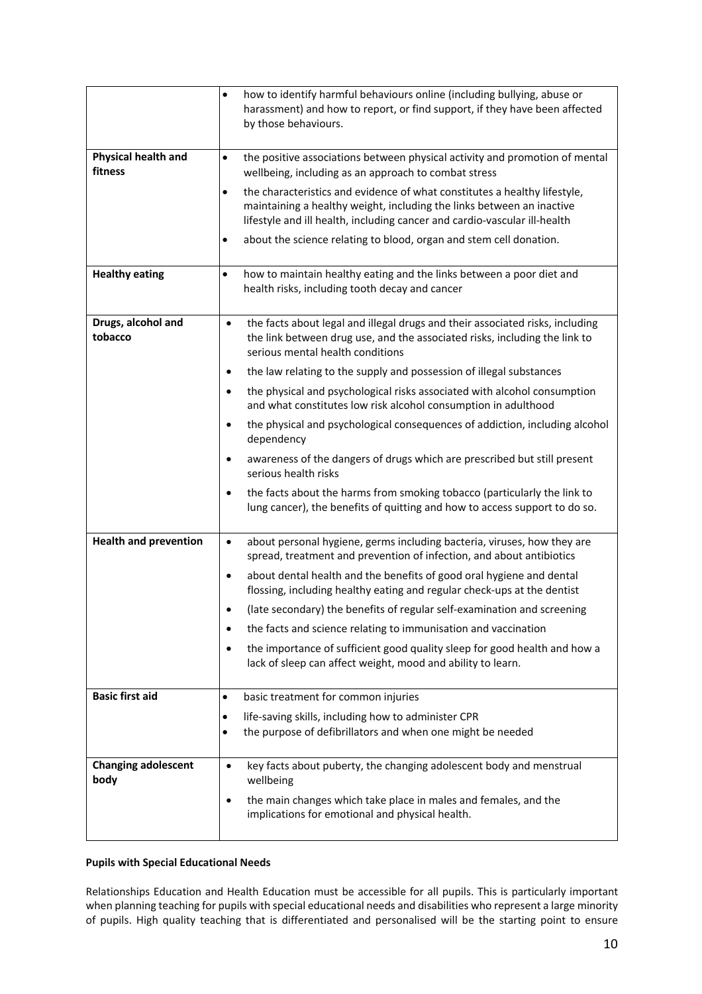|                                       | how to identify harmful behaviours online (including bullying, abuse or<br>$\bullet$<br>harassment) and how to report, or find support, if they have been affected<br>by those behaviours.                                                   |
|---------------------------------------|----------------------------------------------------------------------------------------------------------------------------------------------------------------------------------------------------------------------------------------------|
| <b>Physical health and</b><br>fitness | the positive associations between physical activity and promotion of mental<br>$\bullet$<br>wellbeing, including as an approach to combat stress                                                                                             |
|                                       | the characteristics and evidence of what constitutes a healthy lifestyle,<br>$\bullet$<br>maintaining a healthy weight, including the links between an inactive<br>lifestyle and ill health, including cancer and cardio-vascular ill-health |
|                                       | about the science relating to blood, organ and stem cell donation.<br>$\bullet$                                                                                                                                                              |
| <b>Healthy eating</b>                 | how to maintain healthy eating and the links between a poor diet and<br>$\bullet$<br>health risks, including tooth decay and cancer                                                                                                          |
| Drugs, alcohol and<br>tobacco         | the facts about legal and illegal drugs and their associated risks, including<br>$\bullet$<br>the link between drug use, and the associated risks, including the link to<br>serious mental health conditions                                 |
|                                       | the law relating to the supply and possession of illegal substances<br>$\bullet$                                                                                                                                                             |
|                                       | the physical and psychological risks associated with alcohol consumption<br>$\bullet$<br>and what constitutes low risk alcohol consumption in adulthood                                                                                      |
|                                       | the physical and psychological consequences of addiction, including alcohol<br>$\bullet$<br>dependency                                                                                                                                       |
|                                       | awareness of the dangers of drugs which are prescribed but still present<br>٠<br>serious health risks                                                                                                                                        |
|                                       | the facts about the harms from smoking tobacco (particularly the link to<br>$\bullet$<br>lung cancer), the benefits of quitting and how to access support to do so.                                                                          |
| <b>Health and prevention</b>          | about personal hygiene, germs including bacteria, viruses, how they are<br>$\bullet$<br>spread, treatment and prevention of infection, and about antibiotics                                                                                 |
|                                       | about dental health and the benefits of good oral hygiene and dental<br>flossing, including healthy eating and regular check-ups at the dentist                                                                                              |
|                                       | (late secondary) the benefits of regular self-examination and screening                                                                                                                                                                      |
|                                       | the facts and science relating to immunisation and vaccination<br>٠                                                                                                                                                                          |
|                                       | the importance of sufficient good quality sleep for good health and how a<br>$\bullet$<br>lack of sleep can affect weight, mood and ability to learn.                                                                                        |
| <b>Basic first aid</b>                | basic treatment for common injuries<br>$\bullet$                                                                                                                                                                                             |
|                                       | life-saving skills, including how to administer CPR<br>$\bullet$                                                                                                                                                                             |
|                                       | the purpose of defibrillators and when one might be needed<br>$\bullet$                                                                                                                                                                      |
| <b>Changing adolescent</b><br>body    | key facts about puberty, the changing adolescent body and menstrual<br>$\bullet$<br>wellbeing                                                                                                                                                |
|                                       | the main changes which take place in males and females, and the<br>٠<br>implications for emotional and physical health.                                                                                                                      |

# **Pupils with Special Educational Needs**

Relationships Education and Health Education must be accessible for all pupils. This is particularly important when planning teaching for pupils with special educational needs and disabilities who represent a large minority of pupils. High quality teaching that is differentiated and personalised will be the starting point to ensure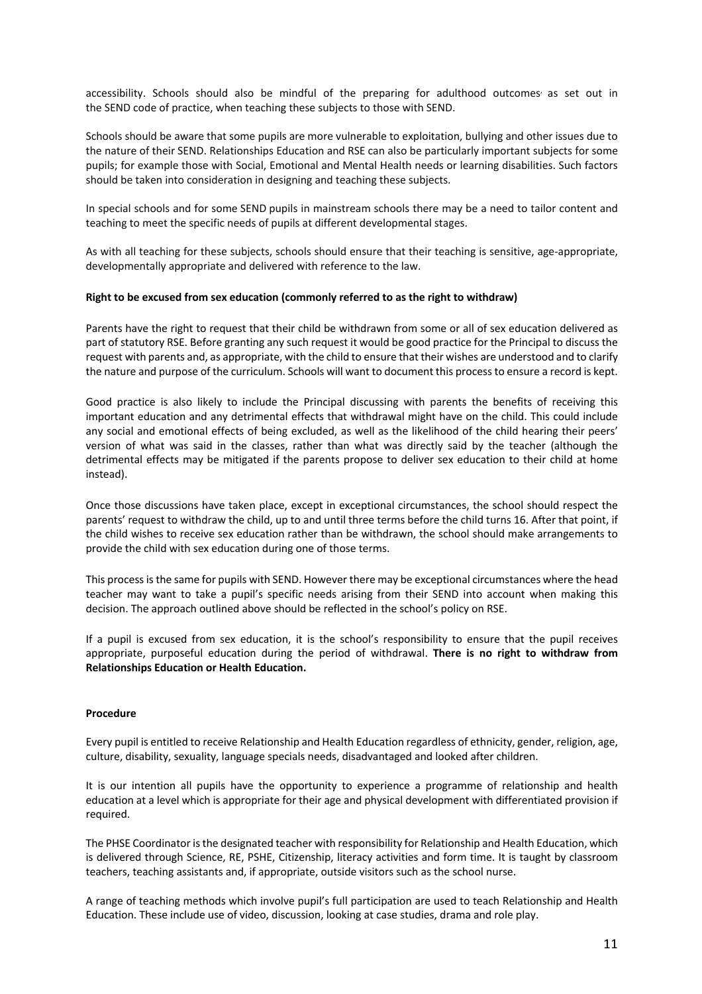accessibility. Schools should also be mindful of the preparing for adulthood outcomes as set out in the SEND code of practice, when teaching these subjects to those with SEND.

Schools should be aware that some pupils are more vulnerable to exploitation, bullying and other issues due to the nature of their SEND. Relationships Education and RSE can also be particularly important subjects for some pupils; for example those with Social, Emotional and Mental Health needs or learning disabilities. Such factors should be taken into consideration in designing and teaching these subjects.

In special schools and for some SEND pupils in mainstream schools there may be a need to tailor content and teaching to meet the specific needs of pupils at different developmental stages.

As with all teaching for these subjects, schools should ensure that their teaching is sensitive, age-appropriate, developmentally appropriate and delivered with reference to the law.

### **Right to be excused from sex education (commonly referred to as the right to withdraw)**

Parents have the right to request that their child be withdrawn from some or all of sex education delivered as part of statutory RSE. Before granting any such request it would be good practice for the Principal to discuss the request with parents and, as appropriate, with the child to ensure that their wishes are understood and to clarify the nature and purpose of the curriculum. Schools will want to document this process to ensure a record is kept.

Good practice is also likely to include the Principal discussing with parents the benefits of receiving this important education and any detrimental effects that withdrawal might have on the child. This could include any social and emotional effects of being excluded, as well as the likelihood of the child hearing their peers' version of what was said in the classes, rather than what was directly said by the teacher (although the detrimental effects may be mitigated if the parents propose to deliver sex education to their child at home instead).

Once those discussions have taken place, except in exceptional circumstances, the school should respect the parents' request to withdraw the child, up to and until three terms before the child turns 16. After that point, if the child wishes to receive sex education rather than be withdrawn, the school should make arrangements to provide the child with sex education during one of those terms.

This process is the same for pupils with SEND. However there may be exceptional circumstances where the head teacher may want to take a pupil's specific needs arising from their SEND into account when making this decision. The approach outlined above should be reflected in the school's policy on RSE.

If a pupil is excused from sex education, it is the school's responsibility to ensure that the pupil receives appropriate, purposeful education during the period of withdrawal. **There is no right to withdraw from Relationships Education or Health Education.**

### **Procedure**

Every pupil is entitled to receive Relationship and Health Education regardless of ethnicity, gender, religion, age, culture, disability, sexuality, language specials needs, disadvantaged and looked after children.

It is our intention all pupils have the opportunity to experience a programme of relationship and health education at a level which is appropriate for their age and physical development with differentiated provision if required.

The PHSE Coordinator is the designated teacher with responsibility for Relationship and Health Education, which is delivered through Science, RE, PSHE, Citizenship, literacy activities and form time. It is taught by classroom teachers, teaching assistants and, if appropriate, outside visitors such as the school nurse.

A range of teaching methods which involve pupil's full participation are used to teach Relationship and Health Education. These include use of video, discussion, looking at case studies, drama and role play.